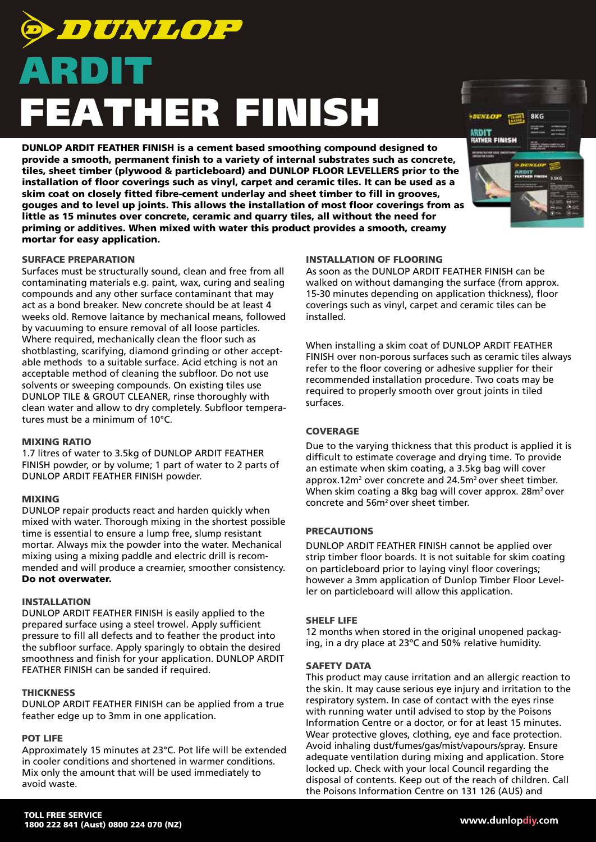# **DUNLOP** ARDIT FEATHER FINISH

DUNLOP ARDIT FEATHER FINISH is a cement based smoothing compound designed to provide a smooth, permanent finish to a variety of internal substrates such as concrete, tiles, sheet timber (plywood & particleboard) and DUNLOP FLOOR LEVELLERS prior to the installation of floor coverings such as vinyl, carpet and ceramic tiles. It can be used as a skim coat on closely fitted fibre-cement underlay and sheet timber to fill in grooves, gouges and to level up joints. This allows the installation of most floor coverings from as little as 15 minutes over concrete, ceramic and quarry tiles, all without the need for priming or additives. When mixed with water this product provides a smooth, creamy mortar for easy application.

# SURFACE PREPARATION

Surfaces must be structurally sound, clean and free from all contaminating materials e.g. paint, wax, curing and sealing compounds and any other surface contaminant that may act as a bond breaker. New concrete should be at least 4 weeks old. Remove laitance by mechanical means, followed by vacuuming to ensure removal of all loose particles. Where required, mechanically clean the floor such as shotblasting, scarifying, diamond grinding or other acceptable methods to a suitable surface. Acid etching is not an acceptable method of cleaning the subfloor. Do not use solvents or sweeping compounds. On existing tiles use DUNLOP TILE & GROUT CLEANER, rinse thoroughly with clean water and allow to dry completely. Subfloor temperatures must be a minimum of 10°C.

#### MIXING RATIO

1.7 litres of water to 3.5kg of DUNLOP ARDIT FEATHER FINISH powder, or by volume; 1 part of water to 2 parts of DUNLOP ARDIT FEATHER FINISH powder.

# MIXING

DUNLOP repair products react and harden quickly when mixed with water. Thorough mixing in the shortest possible time is essential to ensure a lump free, slump resistant mortar. Always mix the powder into the water. Mechanical mixing using a mixing paddle and electric drill is recommended and will produce a creamier, smoother consistency. Do not overwater.

#### INSTALLATION

DUNLOP ARDIT FEATHER FINISH is easily applied to the prepared surface using a steel trowel. Apply sufficient pressure to fill all defects and to feather the product into the subfloor surface. Apply sparingly to obtain the desired smoothness and finish for your application. DUNLOP ARDIT FEATHER FINISH can be sanded if required.

# **THICKNESS**

DUNLOP ARDIT FEATHER FINISH can be applied from a true feather edge up to 3mm in one application.

# POT LIFE

Approximately 15 minutes at 23°C. Pot life will be extended in cooler conditions and shortened in warmer conditions. Mix only the amount that will be used immediately to avoid waste.

# INSTALLATION OF FLOORING

As soon as the DUNLOP ARDIT FEATHER FINISH can be walked on without damanging the surface (from approx. 15-30 minutes depending on application thickness), floor coverings such as vinyl, carpet and ceramic tiles can be installed.

When installing a skim coat of DUNLOP ARDIT FEATHER FINISH over non-porous surfaces such as ceramic tiles always refer to the floor covering or adhesive supplier for their recommended installation procedure. Two coats may be required to properly smooth over grout joints in tiled surfaces.

# **COVERAGE**

Due to the varying thickness that this product is applied it is difficult to estimate coverage and drying time. To provide an estimate when skim coating, a 3.5kg bag will cover approx.12m<sup>2</sup> over concrete and 24.5m<sup>2</sup> over sheet timber. When skim coating a 8kg bag will cover approx. 28m<sup>2</sup> over concrete and 56m2 over sheet timber.

# PRECAUTIONS

DUNLOP ARDIT FEATHER FINISH cannot be applied over strip timber floor boards. It is not suitable for skim coating on particleboard prior to laying vinyl floor coverings; however a 3mm application of Dunlop Timber Floor Leveller on particleboard will allow this application.

# SHELF LIFE

12 months when stored in the original unopened packaging, in a dry place at 23ºC and 50% relative humidity.

#### SAFETY DATA

This product may cause irritation and an allergic reaction to the skin. It may cause serious eye injury and irritation to the respiratory system. In case of contact with the eyes rinse with running water until advised to stop by the Poisons Information Centre or a doctor, or for at least 15 minutes. Wear protective gloves, clothing, eye and face protection. Avoid inhaling dust/fumes/gas/mist/vapours/spray. Ensure adequate ventilation during mixing and application. Store locked up. Check with your local Council regarding the disposal of contents. Keep out of the reach of children. Call the Poisons Information Centre on 131 126 (AUS) and